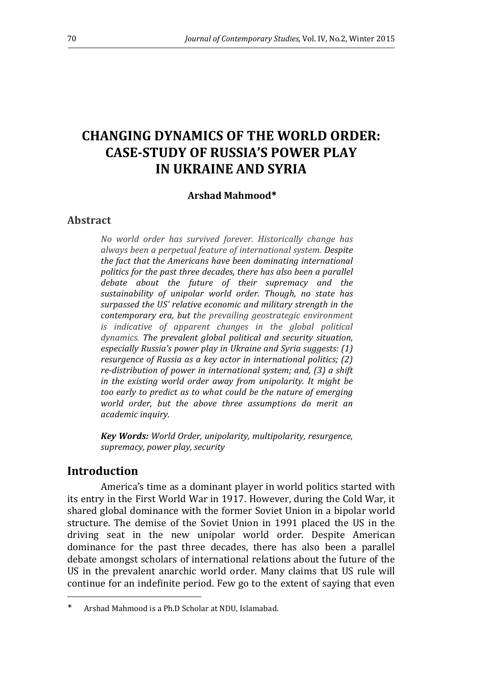# **CHANGING DYNAMICS OF THE WORLD ORDER: CASE-STUDY OF RUSSIA'S POWER PLAY IN UKRAINE AND SYRIA**

#### **Arshad Mahmood**<sup>∗</sup>

#### **Abstract**

*No world order has survived forever. Historically change has always been a perpetual feature of international system. Despite the fact that the Americans have been dominating international politics for the past three decades, there has also been a parallel debate about the future of their supremacy and the sustainability of unipolar world order. Though, no state has surpassed the US' relative economic and military strength in the contemporary era, but the prevailing geostrategic environment is indicative of apparent changes in the global political dynamics. The prevalent global political and security situation, especially Russia's power play in Ukraine and Syria suggests: (1) resurgence of Russia as a key actor in international politics; (2) re-distribution of power in international system; and, (3) a shift in the existing world order away from unipolarity. It might be too early to predict as to what could be the nature of emerging world order, but the above three assumptions do merit an academic inquiry.* 

*Key Words: World Order, unipolarity, multipolarity, resurgence, supremacy, power play, security* 

### **Introduction**

 $\overline{a}$ 

America's time as a dominant player in world politics started with its entry in the First World War in 1917. However, during the Cold War, it shared global dominance with the former Soviet Union in a bipolar world structure. The demise of the Soviet Union in 1991 placed the US in the driving seat in the new unipolar world order. Despite American dominance for the past three decades, there has also been a parallel debate amongst scholars of international relations about the future of the US in the prevalent anarchic world order. Many claims that US rule will continue for an indefinite period. Few go to the extent of saying that even

<sup>∗</sup> Arshad Mahmood is a Ph.D Scholar at NDU, Islamabad.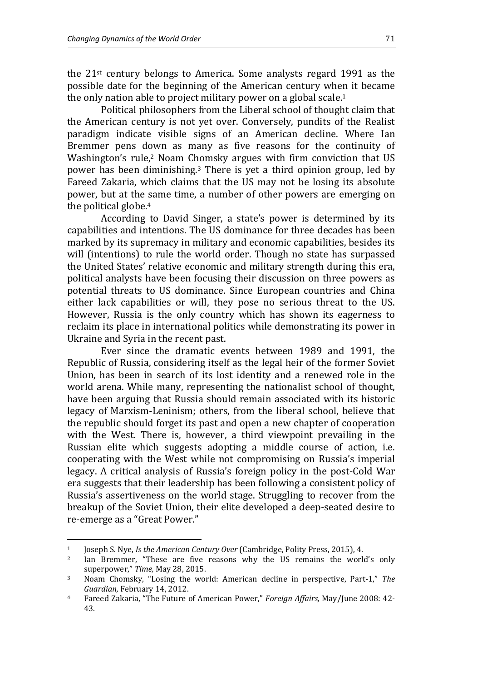the 21st century belongs to America. Some analysts regard 1991 as the possible date for the beginning of the American century when it became the only nation able to project military power on a global scale.<sup>1</sup>

Political philosophers from the Liberal school of thought claim that the American century is not yet over. Conversely, pundits of the Realist paradigm indicate visible signs of an American decline. Where Ian Bremmer pens down as many as five reasons for the continuity of Washington's rule,<sup>2</sup> Noam Chomsky argues with firm conviction that US power has been diminishing.3 There is yet a third opinion group, led by Fareed Zakaria, which claims that the US may not be losing its absolute power, but at the same time, a number of other powers are emerging on the political globe.<sup>4</sup>

According to David Singer, a state's power is determined by its capabilities and intentions. The US dominance for three decades has been marked by its supremacy in military and economic capabilities, besides its will (intentions) to rule the world order. Though no state has surpassed the United States' relative economic and military strength during this era, political analysts have been focusing their discussion on three powers as potential threats to US dominance. Since European countries and China either lack capabilities or will, they pose no serious threat to the US. However, Russia is the only country which has shown its eagerness to reclaim its place in international politics while demonstrating its power in Ukraine and Syria in the recent past.

Ever since the dramatic events between 1989 and 1991, the Republic of Russia, considering itself as the legal heir of the former Soviet Union, has been in search of its lost identity and a renewed role in the world arena. While many, representing the nationalist school of thought, have been arguing that Russia should remain associated with its historic legacy of Marxism-Leninism; others, from the liberal school, believe that the republic should forget its past and open a new chapter of cooperation with the West. There is, however, a third viewpoint prevailing in the Russian elite which suggests adopting a middle course of action, i.e. cooperating with the West while not compromising on Russia's imperial legacy. A critical analysis of Russia's foreign policy in the post-Cold War era suggests that their leadership has been following a consistent policy of Russia's assertiveness on the world stage. Struggling to recover from the breakup of the Soviet Union, their elite developed a deep-seated desire to re-emerge as a "Great Power."

<sup>1</sup> Joseph S. Nye, *Is the American Century Over* (Cambridge, Polity Press, 2015), 4.

Ian Bremmer, "These are five reasons why the US remains the world's only superpower," *Time,* May 28, 2015.

<sup>3</sup> Noam Chomsky, "Losing the world: American decline in perspective, Part-1," *The Guardian,* February 14, 2012.

<sup>4</sup> Fareed Zakaria, "The Future of American Power," *Foreign Affairs,* May/June 2008: 42- 43.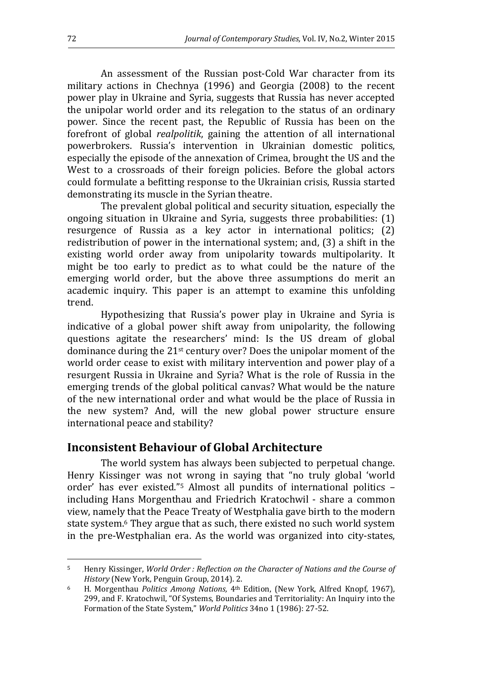An assessment of the Russian post-Cold War character from its military actions in Chechnya (1996) and Georgia (2008) to the recent power play in Ukraine and Syria, suggests that Russia has never accepted the unipolar world order and its relegation to the status of an ordinary power. Since the recent past, the Republic of Russia has been on the forefront of global *realpolitik*, gaining the attention of all international powerbrokers. Russia's intervention in Ukrainian domestic politics, especially the episode of the annexation of Crimea, brought the US and the West to a crossroads of their foreign policies. Before the global actors could formulate a befitting response to the Ukrainian crisis, Russia started demonstrating its muscle in the Syrian theatre.

The prevalent global political and security situation, especially the ongoing situation in Ukraine and Syria, suggests three probabilities: (1) resurgence of Russia as a key actor in international politics; (2) redistribution of power in the international system; and, (3) a shift in the existing world order away from unipolarity towards multipolarity. It might be too early to predict as to what could be the nature of the emerging world order, but the above three assumptions do merit an academic inquiry. This paper is an attempt to examine this unfolding trend.

Hypothesizing that Russia's power play in Ukraine and Syria is indicative of a global power shift away from unipolarity, the following questions agitate the researchers' mind: Is the US dream of global dominance during the 21st century over? Does the unipolar moment of the world order cease to exist with military intervention and power play of a resurgent Russia in Ukraine and Syria? What is the role of Russia in the emerging trends of the global political canvas? What would be the nature of the new international order and what would be the place of Russia in the new system? And, will the new global power structure ensure international peace and stability?

### **Inconsistent Behaviour of Global Architecture**

The world system has always been subjected to perpetual change. Henry Kissinger was not wrong in saying that "no truly global 'world order' has ever existed."5 Almost all pundits of international politics – including Hans Morgenthau and Friedrich Kratochwil - share a common view, namely that the Peace Treaty of Westphalia gave birth to the modern state system.6 They argue that as such, there existed no such world system in the pre-Westphalian era. As the world was organized into city-states,

<sup>5</sup> Henry Kissinger, *World Order : Reflection on the Character of Nations and the Course of History* (New York, Penguin Group, 2014). 2.

<sup>6</sup> H. Morgenthau *Politics Among Nations,* 4th Edition, (New York, Alfred Knopf, 1967), 299, and F. Kratochwil, "Of Systems, Boundaries and Territoriality: An Inquiry into the Formation of the State System," *World Politics* 34no 1 (1986): 27-52.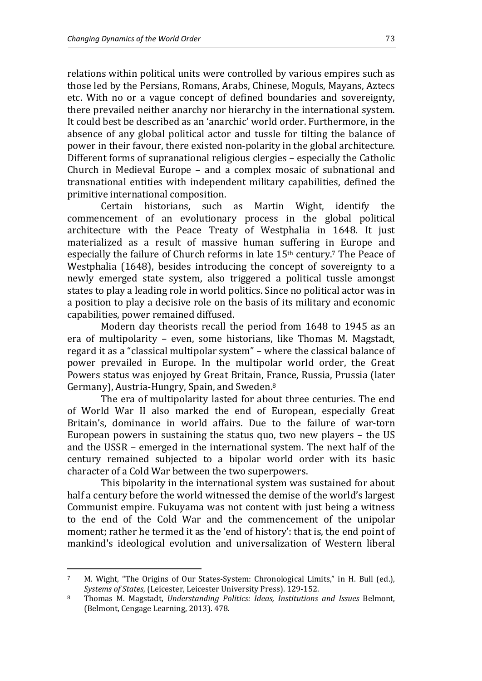relations within political units were controlled by various empires such as those led by the Persians, Romans, Arabs, Chinese, Moguls, Mayans, Aztecs etc. With no or a vague concept of defined boundaries and sovereignty, there prevailed neither anarchy nor hierarchy in the international system. It could best be described as an 'anarchic' world order. Furthermore, in the absence of any global political actor and tussle for tilting the balance of power in their favour, there existed non-polarity in the global architecture. Different forms of supranational religious clergies – especially the Catholic Church in Medieval Europe – and a complex mosaic of subnational and transnational entities with independent military capabilities, defined the primitive international composition.

Certain historians, such as Martin Wight, identify the commencement of an evolutionary process in the global political architecture with the Peace Treaty of Westphalia in 1648. It just materialized as a result of massive human suffering in Europe and especially the failure of Church reforms in late 15<sup>th</sup> century.<sup>7</sup> The Peace of Westphalia (1648), besides introducing the concept of sovereignty to a newly emerged state system, also triggered a political tussle amongst states to play a leading role in world politics. Since no political actor was in a position to play a decisive role on the basis of its military and economic capabilities, power remained diffused.

Modern day theorists recall the period from 1648 to 1945 as an era of multipolarity – even, some historians, like Thomas M. Magstadt, regard it as a "classical multipolar system" – where the classical balance of power prevailed in Europe. In the multipolar world order, the Great Powers status was enjoyed by Great Britain, France, Russia, Prussia (later Germany), Austria-Hungry, Spain, and Sweden.<sup>8</sup>

The era of multipolarity lasted for about three centuries. The end of World War II also marked the end of European, especially Great Britain's, dominance in world affairs. Due to the failure of war-torn European powers in sustaining the status quo, two new players – the US and the USSR – emerged in the international system. The next half of the century remained subjected to a bipolar world order with its basic character of a Cold War between the two superpowers.

This bipolarity in the international system was sustained for about half a century before the world witnessed the demise of the world's largest Communist empire. Fukuyama was not content with just being a witness to the end of the Cold War and the commencement of the unipolar moment; rather he termed it as the 'end of history': that is, the end point of mankind's ideological evolution and universalization of Western liberal

<sup>7</sup> M. Wight, "The Origins of Our States-System: Chronological Limits," in H. Bull (ed.), *Systems of States,* (Leicester, Leicester University Press). 129-152.

<sup>8</sup> Thomas M. Magstadt, *Understanding Politics: Ideas, Institutions and Issues* Belmont, (Belmont, Cengage Learning, 2013). 478.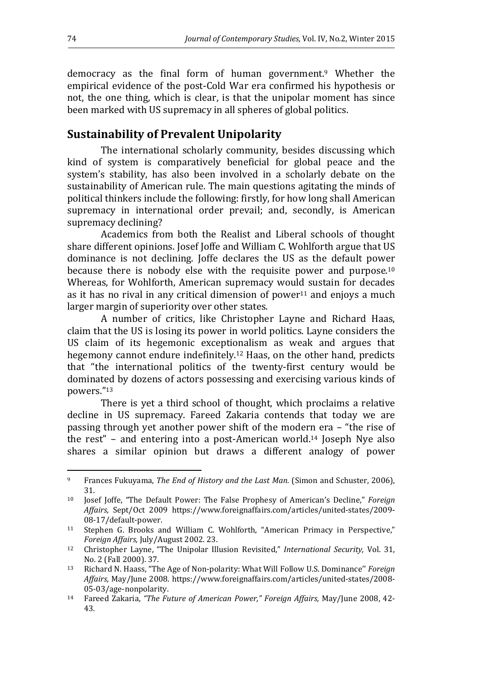democracy as the final form of human government.9 Whether the empirical evidence of the post-Cold War era confirmed his hypothesis or not, the one thing, which is clear, is that the unipolar moment has since been marked with US supremacy in all spheres of global politics.

# **Sustainability of Prevalent Unipolarity**

The international scholarly community, besides discussing which kind of system is comparatively beneficial for global peace and the system's stability, has also been involved in a scholarly debate on the sustainability of American rule. The main questions agitating the minds of political thinkers include the following: firstly, for how long shall American supremacy in international order prevail; and, secondly, is American supremacy declining?

Academics from both the Realist and Liberal schools of thought share different opinions. Josef Joffe and William C. Wohlforth argue that US dominance is not declining. Joffe declares the US as the default power because there is nobody else with the requisite power and purpose.<sup>10</sup> Whereas, for Wohlforth, American supremacy would sustain for decades as it has no rival in any critical dimension of power $11$  and enjoys a much larger margin of superiority over other states.

A number of critics, like Christopher Layne and Richard Haas, claim that the US is losing its power in world politics. Layne considers the US claim of its hegemonic exceptionalism as weak and argues that hegemony cannot endure indefinitely.12 Haas, on the other hand, predicts that "the international politics of the twenty-first century would be dominated by dozens of actors possessing and exercising various kinds of powers."<sup>13</sup>

There is yet a third school of thought, which proclaims a relative decline in US supremacy. Fareed Zakaria contends that today we are passing through yet another power shift of the modern era – "the rise of the rest" – and entering into a post-American world. <sup>14</sup> Joseph Nye also shares a similar opinion but draws a different analogy of power

l

<sup>9</sup> Frances Fukuyama, *The End of History and the Last Man.* (Simon and Schuster, 2006), 31.

<sup>10</sup> Josef Joffe, "The Default Power: The False Prophesy of American's Decline," *Foreign Affairs,* Sept/Oct 2009 https://www.foreignaffairs.com/articles/united-states/2009- 08-17/default-power.

<sup>11</sup> Stephen G. Brooks and William C. Wohlforth, "American Primacy in Perspective," *Foreign Affairs,* July/August 2002. 23.

<sup>12</sup> Christopher Layne, "The Unipolar Illusion Revisited," *International Security,* Vol. 31, No. 2 (Fall 2000). 37.

<sup>13</sup> Richard N. Haass, "The Age of Non-polarity: What Will Follow U.S. Dominance'' *Foreign Affairs,* May/June 2008. https://www.foreignaffairs.com/articles/united-states/2008- 05-03/age-nonpolarity.

<sup>14</sup> Fareed Zakaria, *"The Future of American Power," Foreign Affairs,* May/June 2008, 42- 43.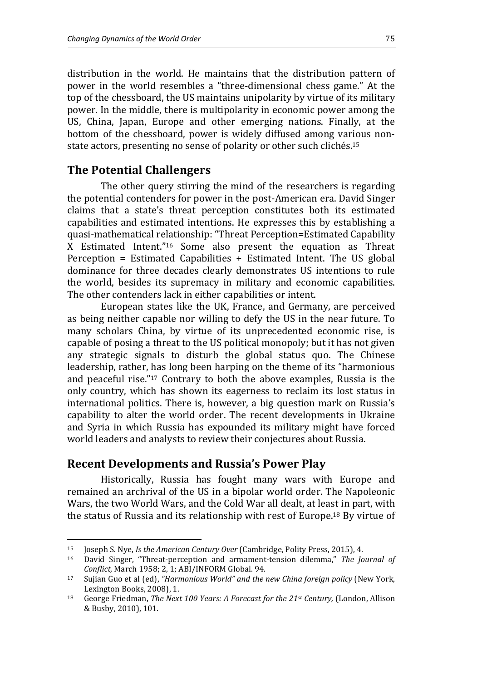distribution in the world. He maintains that the distribution pattern of power in the world resembles a "three-dimensional chess game." At the top of the chessboard, the US maintains unipolarity by virtue of its military power. In the middle, there is multipolarity in economic power among the US, China, Japan, Europe and other emerging nations. Finally, at the bottom of the chessboard, power is widely diffused among various nonstate actors, presenting no sense of polarity or other such clichés.<sup>15</sup>

# **The Potential Challengers**

The other query stirring the mind of the researchers is regarding the potential contenders for power in the post-American era. David Singer claims that a state's threat perception constitutes both its estimated capabilities and estimated intentions. He expresses this by establishing a quasi-mathematical relationship: "Threat Perception=Estimated Capability X Estimated Intent."16 Some also present the equation as Threat Perception = Estimated Capabilities + Estimated Intent. The US global dominance for three decades clearly demonstrates US intentions to rule the world, besides its supremacy in military and economic capabilities. The other contenders lack in either capabilities or intent.

European states like the UK, France, and Germany, are perceived as being neither capable nor willing to defy the US in the near future. To many scholars China, by virtue of its unprecedented economic rise, is capable of posing a threat to the US political monopoly; but it has not given any strategic signals to disturb the global status quo. The Chinese leadership, rather, has long been harping on the theme of its "harmonious and peaceful rise."17 Contrary to both the above examples, Russia is the only country, which has shown its eagerness to reclaim its lost status in international politics. There is, however, a big question mark on Russia's capability to alter the world order. The recent developments in Ukraine and Syria in which Russia has expounded its military might have forced world leaders and analysts to review their conjectures about Russia.

# **Recent Developments and Russia's Power Play**

l

Historically, Russia has fought many wars with Europe and remained an archrival of the US in a bipolar world order. The Napoleonic Wars, the two World Wars, and the Cold War all dealt, at least in part, with the status of Russia and its relationship with rest of Europe.18 By virtue of

<sup>15</sup> Joseph S. Nye, *Is the American Century Over* (Cambridge, Polity Press, 2015), 4.

<sup>16</sup> David Singer, "Threat-perception and armament-tension dilemma," *The Journal of Conflict,* March 1958; 2, 1; ABI/INFORM Global. 94.

<sup>17</sup> Sujian Guo et al (ed), *"Harmonious World" and the new China foreign policy* (New York, Lexington Books, 2008), 1.

<sup>18</sup> George Friedman, *The Next 100 Years: A Forecast for the 21st Century,* (London, Allison & Busby, 2010), 101.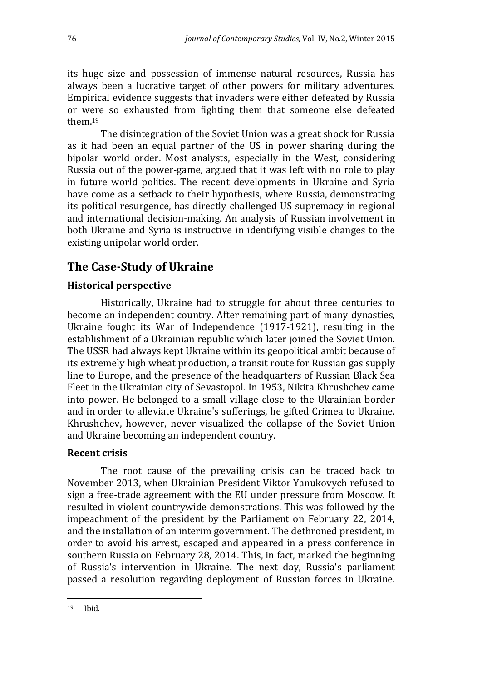its huge size and possession of immense natural resources, Russia has always been a lucrative target of other powers for military adventures. Empirical evidence suggests that invaders were either defeated by Russia or were so exhausted from fighting them that someone else defeated them.<sup>19</sup>

The disintegration of the Soviet Union was a great shock for Russia as it had been an equal partner of the US in power sharing during the bipolar world order. Most analysts, especially in the West, considering Russia out of the power-game, argued that it was left with no role to play in future world politics. The recent developments in Ukraine and Syria have come as a setback to their hypothesis, where Russia, demonstrating its political resurgence, has directly challenged US supremacy in regional and international decision-making. An analysis of Russian involvement in both Ukraine and Syria is instructive in identifying visible changes to the existing unipolar world order.

# **The Case-Study of Ukraine**

#### **Historical perspective**

Historically, Ukraine had to struggle for about three centuries to become an independent country. After remaining part of many dynasties, Ukraine fought its War of Independence (1917-1921), resulting in the establishment of a Ukrainian republic which later joined the Soviet Union. The USSR had always kept Ukraine within its geopolitical ambit because of its extremely high wheat production, a transit route for Russian gas supply line to Europe, and the presence of the headquarters of Russian Black Sea Fleet in the Ukrainian city of Sevastopol. In 1953, Nikita Khrushchev came into power. He belonged to a small village close to the Ukrainian border and in order to alleviate Ukraine's sufferings, he gifted Crimea to Ukraine. Khrushchev, however, never visualized the collapse of the Soviet Union and Ukraine becoming an independent country.

#### **Recent crisis**

The root cause of the prevailing crisis can be traced back to November 2013, when Ukrainian President Viktor Yanukovych refused to sign a free-trade agreement with the EU under pressure from Moscow. It resulted in violent countrywide demonstrations. This was followed by the impeachment of the president by the Parliament on February 22, 2014, and the installation of an interim government. The dethroned president, in order to avoid his arrest, escaped and appeared in a press conference in southern Russia on February 28, 2014. This, in fact, marked the beginning of Russia's intervention in Ukraine. The next day, Russia's parliament passed a resolution regarding deployment of Russian forces in Ukraine.

l 19 Ibid.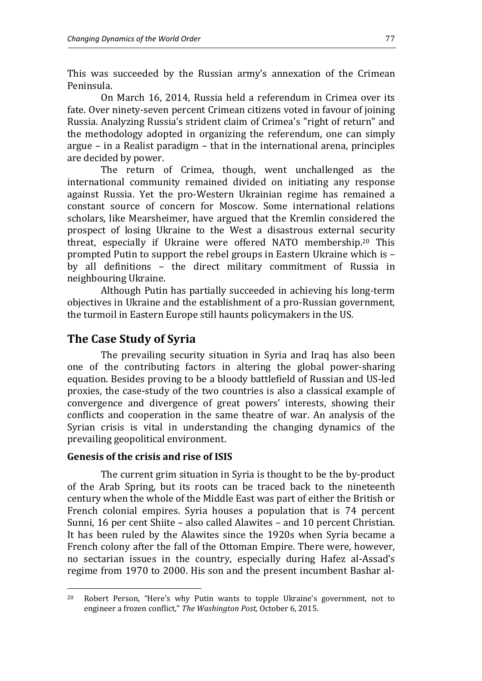This was succeeded by the Russian army's annexation of the Crimean Peninsula.

On March 16, 2014, Russia held a referendum in Crimea over its fate. Over ninety-seven percent Crimean citizens voted in favour of joining Russia. Analyzing Russia's strident claim of Crimea's "right of return" and the methodology adopted in organizing the referendum, one can simply argue – in a Realist paradigm – that in the international arena, principles are decided by power.

The return of Crimea, though, went unchallenged as the international community remained divided on initiating any response against Russia. Yet the pro-Western Ukrainian regime has remained a constant source of concern for Moscow. Some international relations scholars, like Mearsheimer, have argued that the Kremlin considered the prospect of losing Ukraine to the West a disastrous external security threat, especially if Ukraine were offered NATO membership.20 This prompted Putin to support the rebel groups in Eastern Ukraine which is – by all definitions – the direct military commitment of Russia in neighbouring Ukraine.

Although Putin has partially succeeded in achieving his long-term objectives in Ukraine and the establishment of a pro-Russian government, the turmoil in Eastern Europe still haunts policymakers in the US.

### **The Case Study of Syria**

The prevailing security situation in Syria and Iraq has also been one of the contributing factors in altering the global power-sharing equation. Besides proving to be a bloody battlefield of Russian and US-led proxies, the case-study of the two countries is also a classical example of convergence and divergence of great powers' interests, showing their conflicts and cooperation in the same theatre of war. An analysis of the Syrian crisis is vital in understanding the changing dynamics of the prevailing geopolitical environment.

#### **Genesis of the crisis and rise of ISIS**

 $\overline{a}$ 

The current grim situation in Syria is thought to be the by-product of the Arab Spring, but its roots can be traced back to the nineteenth century when the whole of the Middle East was part of either the British or French colonial empires. Syria houses a population that is 74 percent Sunni, 16 per cent Shiite – also called Alawites – and 10 percent Christian. It has been ruled by the Alawites since the 1920s when Syria became a French colony after the fall of the Ottoman Empire. There were, however, no sectarian issues in the country, especially during Hafez al-Assad's regime from 1970 to 2000. His son and the present incumbent Bashar al-

<sup>20</sup> Robert Person, "Here's why Putin wants to topple Ukraine's government, not to engineer a frozen conflict," *The Washington Post,* October 6, 2015.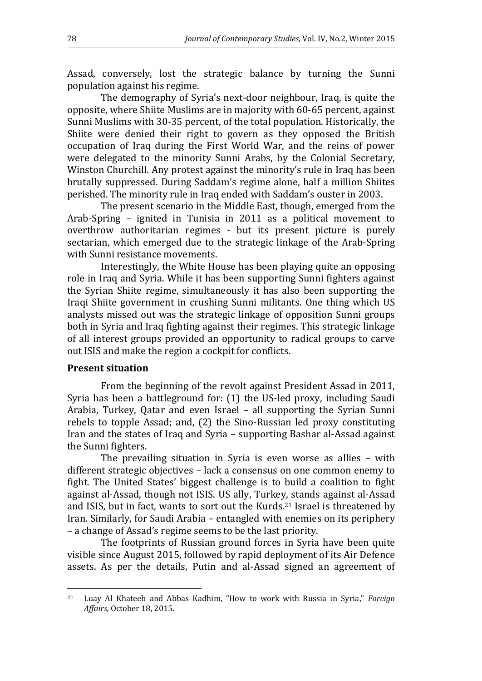Assad, conversely, lost the strategic balance by turning the Sunni population against his regime.

The demography of Syria's next-door neighbour, Iraq, is quite the opposite, where Shiite Muslims are in majority with 60-65 percent, against Sunni Muslims with 30-35 percent, of the total population. Historically, the Shiite were denied their right to govern as they opposed the British occupation of Iraq during the First World War, and the reins of power were delegated to the minority Sunni Arabs, by the Colonial Secretary, Winston Churchill. Any protest against the minority's rule in Iraq has been brutally suppressed. During Saddam's regime alone, half a million Shiites perished. The minority rule in Iraq ended with Saddam's ouster in 2003.

The present scenario in the Middle East, though, emerged from the Arab-Spring – ignited in Tunisia in 2011 as a political movement to overthrow authoritarian regimes - but its present picture is purely sectarian, which emerged due to the strategic linkage of the Arab-Spring with Sunni resistance movements.

Interestingly, the White House has been playing quite an opposing role in Iraq and Syria. While it has been supporting Sunni fighters against the Syrian Shiite regime, simultaneously it has also been supporting the Iraqi Shiite government in crushing Sunni militants. One thing which US analysts missed out was the strategic linkage of opposition Sunni groups both in Syria and Iraq fighting against their regimes. This strategic linkage of all interest groups provided an opportunity to radical groups to carve out ISIS and make the region a cockpit for conflicts.

#### **Present situation**

 $\overline{a}$ 

From the beginning of the revolt against President Assad in 2011, Syria has been a battleground for: (1) the US-led proxy, including Saudi Arabia, Turkey, Qatar and even Israel – all supporting the Syrian Sunni rebels to topple Assad; and, (2) the Sino-Russian led proxy constituting Iran and the states of Iraq and Syria – supporting Bashar al-Assad against the Sunni fighters.

The prevailing situation in Syria is even worse as allies – with different strategic objectives – lack a consensus on one common enemy to fight. The United States' biggest challenge is to build a coalition to fight against al-Assad, though not ISIS. US ally, Turkey, stands against al-Assad and ISIS, but in fact, wants to sort out the Kurds.21 Israel is threatened by Iran. Similarly, for Saudi Arabia – entangled with enemies on its periphery – a change of Assad's regime seems to be the last priority.

The footprints of Russian ground forces in Syria have been quite visible since August 2015, followed by rapid deployment of its Air Defence assets. As per the details, Putin and al-Assad signed an agreement of

<sup>21</sup> Luay Al Khateeb and Abbas Kadhim, "How to work with Russia in Syria," *Foreign Affairs,* October 18, 2015.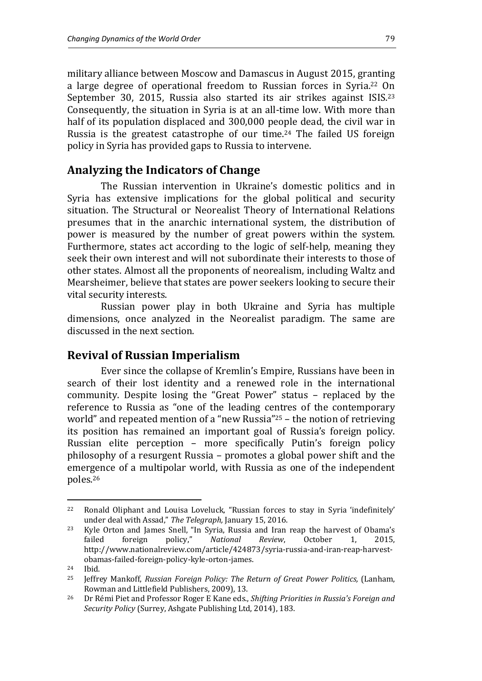military alliance between Moscow and Damascus in August 2015, granting a large degree of operational freedom to Russian forces in Syria.22 On September 30, 2015, Russia also started its air strikes against ISIS.<sup>23</sup> Consequently, the situation in Syria is at an all-time low. With more than half of its population displaced and 300,000 people dead, the civil war in Russia is the greatest catastrophe of our time.24 The failed US foreign policy in Syria has provided gaps to Russia to intervene.

### **Analyzing the Indicators of Change**

The Russian intervention in Ukraine's domestic politics and in Syria has extensive implications for the global political and security situation. The Structural or Neorealist Theory of International Relations presumes that in the anarchic international system, the distribution of power is measured by the number of great powers within the system. Furthermore, states act according to the logic of self-help, meaning they seek their own interest and will not subordinate their interests to those of other states. Almost all the proponents of neorealism, including Waltz and Mearsheimer, believe that states are power seekers looking to secure their vital security interests.

Russian power play in both Ukraine and Syria has multiple dimensions, once analyzed in the Neorealist paradigm. The same are discussed in the next section.

### **Revival of Russian Imperialism**

Ever since the collapse of Kremlin's Empire, Russians have been in search of their lost identity and a renewed role in the international community. Despite losing the "Great Power" status – replaced by the reference to Russia as "one of the leading centres of the contemporary world" and repeated mention of a "new Russia"25 – the notion of retrieving its position has remained an important goal of Russia's foreign policy. Russian elite perception – more specifically Putin's foreign policy philosophy of a resurgent Russia – promotes a global power shift and the emergence of a multipolar world, with Russia as one of the independent poles.<sup>26</sup>

<sup>22</sup> Ronald Oliphant and Louisa Loveluck, "Russian forces to stay in Syria 'indefinitely' under deal with Assad," *The Telegraph,* January 15, 2016.

<sup>23</sup> Kyle Orton and James Snell, "In Syria, Russia and Iran reap the harvest of Obama's failed foreign policy," *National Review*, October 1, 2015, http://www.nationalreview.com/article/424873/syria-russia-and-iran-reap-harvestobamas-failed-foreign-policy-kyle-orton-james.

<sup>24</sup> Ibid.

<sup>25</sup> Jeffrey Mankoff, *Russian Foreign Policy: The Return of Great Power Politics,* (Lanham, Rowman and Littlefield Publishers, 2009), 13.

<sup>26</sup> Dr Rémi Piet and Professor Roger E Kane eds., *Shifting Priorities in Russia's Foreign and Security Policy* (Surrey, Ashgate Publishing Ltd, 2014), 183.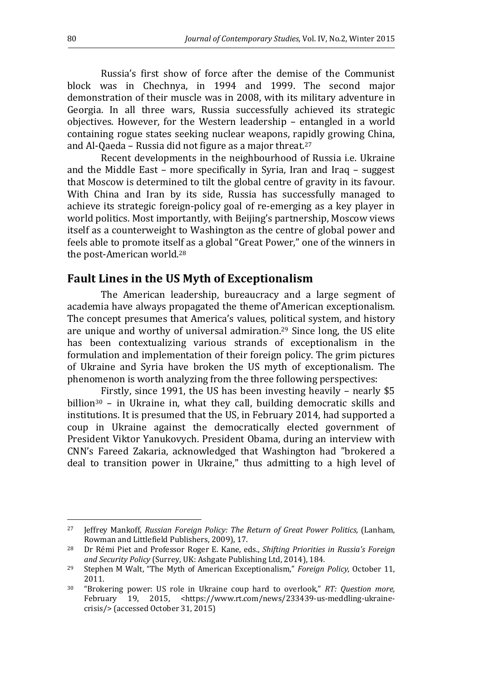Russia's first show of force after the demise of the Communist block was in Chechnya, in 1994 and 1999. The second major demonstration of their muscle was in 2008, with its military adventure in Georgia. In all three wars, Russia successfully achieved its strategic objectives. However, for the Western leadership – entangled in a world containing rogue states seeking nuclear weapons, rapidly growing China, and Al-Qaeda – Russia did not figure as a major threat.<sup>27</sup>

Recent developments in the neighbourhood of Russia i.e. Ukraine and the Middle East – more specifically in Syria, Iran and Iraq – suggest that Moscow is determined to tilt the global centre of gravity in its favour. With China and Iran by its side, Russia has successfully managed to achieve its strategic foreign-policy goal of re-emerging as a key player in world politics. Most importantly, with Beijing's partnership, Moscow views itself as a counterweight to Washington as the centre of global power and feels able to promote itself as a global "Great Power," one of the winners in the post-American world.<sup>28</sup>

### **Fault Lines in the US Myth of Exceptionalism**

The American leadership, bureaucracy and a large segment of academia have always propagated the theme of'American exceptionalism. The concept presumes that America's values, political system, and history are unique and worthy of universal admiration.29 Since long, the US elite has been contextualizing various strands of exceptionalism in the formulation and implementation of their foreign policy. The grim pictures of Ukraine and Syria have broken the US myth of exceptionalism. The phenomenon is worth analyzing from the three following perspectives:

Firstly, since 1991, the US has been investing heavily – nearly \$5 billion $30 -$  in Ukraine in, what they call, building democratic skills and institutions. It is presumed that the US, in February 2014, had supported a coup in Ukraine against the democratically elected government of President Viktor Yanukovych. President Obama, during an interview with CNN's Fareed Zakaria, acknowledged that Washington had "brokered a deal to transition power in Ukraine," thus admitting to a high level of

<sup>27</sup> Jeffrey Mankoff, *Russian Foreign Policy: The Return of Great Power Politics,* (Lanham, Rowman and Littlefield Publishers, 2009), 17.

<sup>28</sup> Dr Rémi Piet and Professor Roger E. Kane, eds., *Shifting Priorities in Russia's Foreign and Security Policy* (Surrey, UK: Ashgate Publishing Ltd, 2014), 184.

<sup>29</sup> Stephen M Walt, "The Myth of American Exceptionalism," *Foreign Policy,* October 11, 2011.

<sup>30</sup> "Brokering power: US role in Ukraine coup hard to overlook," *RT: Question more,* February 19, 2015, <https://www.rt.com/news/233439-us-meddling-ukrainecrisis/> (accessed October 31, 2015)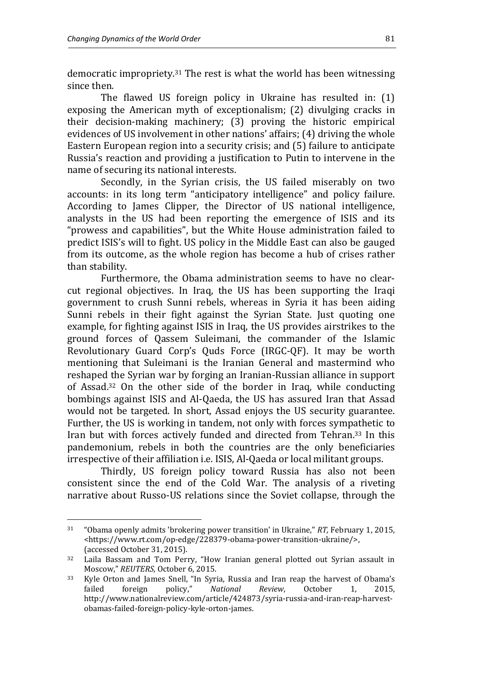l

democratic impropriety.<sup>31</sup> The rest is what the world has been witnessing since then.

The flawed US foreign policy in Ukraine has resulted in: (1) exposing the American myth of exceptionalism; (2) divulging cracks in their decision-making machinery; (3) proving the historic empirical evidences of US involvement in other nations' affairs; (4) driving the whole Eastern European region into a security crisis; and (5) failure to anticipate Russia's reaction and providing a justification to Putin to intervene in the name of securing its national interests.

Secondly, in the Syrian crisis, the US failed miserably on two accounts: in its long term "anticipatory intelligence" and policy failure. According to James Clipper, the Director of US national intelligence, analysts in the US had been reporting the emergence of ISIS and its "prowess and capabilities", but the White House administration failed to predict ISIS's will to fight. US policy in the Middle East can also be gauged from its outcome, as the whole region has become a hub of crises rather than stability.

Furthermore, the Obama administration seems to have no clearcut regional objectives. In Iraq, the US has been supporting the Iraqi government to crush Sunni rebels, whereas in Syria it has been aiding Sunni rebels in their fight against the Syrian State. Just quoting one example, for fighting against ISIS in Iraq, the US provides airstrikes to the ground forces of Qassem Suleimani, the commander of the Islamic Revolutionary Guard Corp's Quds Force (IRGC-QF). It may be worth mentioning that Suleimani is the Iranian General and mastermind who reshaped the Syrian war by forging an Iranian-Russian alliance in support of Assad.32 On the other side of the border in Iraq, while conducting bombings against ISIS and Al-Qaeda, the US has assured Iran that Assad would not be targeted. In short, Assad enjoys the US security guarantee. Further, the US is working in tandem, not only with forces sympathetic to Iran but with forces actively funded and directed from Tehran.33 In this pandemonium, rebels in both the countries are the only beneficiaries irrespective of their affiliation i.e. ISIS, Al-Qaeda or local militant groups.

Thirdly, US foreign policy toward Russia has also not been consistent since the end of the Cold War. The analysis of a riveting narrative about Russo-US relations since the Soviet collapse, through the

<sup>31</sup> "Obama openly admits 'brokering power transition' in Ukraine," *RT,* February 1, 2015, <https://www.rt.com/op-edge/228379-obama-power-transition-ukraine/>, (accessed October 31, 2015).

<sup>32</sup> Laila Bassam and Tom Perry, "How Iranian general plotted out Syrian assault in Moscow," *REUTERS,* October 6, 2015.

<sup>33</sup> Kyle Orton and James Snell, "In Syria, Russia and Iran reap the harvest of Obama's failed foreign policy," *National Review*, October 1, 2015, http://www.nationalreview.com/article/424873/syria-russia-and-iran-reap-harvestobamas-failed-foreign-policy-kyle-orton-james.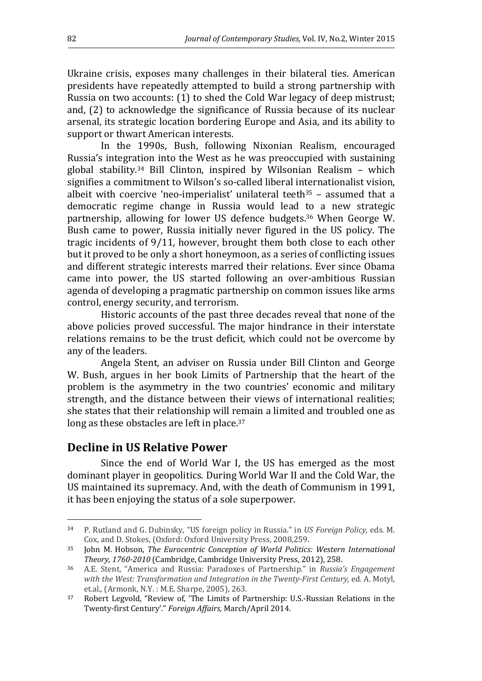Ukraine crisis, exposes many challenges in their bilateral ties. American presidents have repeatedly attempted to build a strong partnership with Russia on two accounts: (1) to shed the Cold War legacy of deep mistrust; and, (2) to acknowledge the significance of Russia because of its nuclear arsenal, its strategic location bordering Europe and Asia, and its ability to support or thwart American interests.

In the 1990s, Bush, following Nixonian Realism, encouraged Russia's integration into the West as he was preoccupied with sustaining global stability.34 Bill Clinton, inspired by Wilsonian Realism – which signifies a commitment to Wilson's so-called liberal internationalist vision, albeit with coercive 'neo-imperialist' unilateral teeth<sup>35</sup> – assumed that a democratic regime change in Russia would lead to a new strategic partnership, allowing for lower US defence budgets.36 When George W. Bush came to power, Russia initially never figured in the US policy. The tragic incidents of 9/11, however, brought them both close to each other but it proved to be only a short honeymoon, as a series of conflicting issues and different strategic interests marred their relations. Ever since Obama came into power, the US started following an over-ambitious Russian agenda of developing a pragmatic partnership on common issues like arms control, energy security, and terrorism.

Historic accounts of the past three decades reveal that none of the above policies proved successful. The major hindrance in their interstate relations remains to be the trust deficit, which could not be overcome by any of the leaders.

Angela Stent, an adviser on Russia under Bill Clinton and George W. Bush, argues in her book Limits of Partnership that the heart of the problem is the asymmetry in the two countries' economic and military strength, and the distance between their views of international realities; she states that their relationship will remain a limited and troubled one as long as these obstacles are left in place.<sup>37</sup>

### **Decline in US Relative Power**

l

Since the end of World War I, the US has emerged as the most dominant player in geopolitics. During World War II and the Cold War, the US maintained its supremacy. And, with the death of Communism in 1991, it has been enjoying the status of a sole superpower.

<sup>34</sup> P. Rutland and G. Dubinsky, "US foreign policy in Russia." in *US Foreign Policy,* eds*.* M. Cox, and D. Stokes, (Oxford: Oxford University Press, 2008,259.

<sup>35</sup> John M. Hobson, *The Eurocentric Conception of World Politics: Western International Theory, 1760-2010* (Cambridge, Cambridge University Press, 2012), 258.

<sup>36</sup> A.E. Stent, "America and Russia: Paradoxes of Partnership." in *Russia's Engagement with the West: Transformation and Integration in the Twenty-First Century,* ed. A. Motyl, et.al., (Armonk, N.Y. : M.E. Sharpe, 2005), 263.

<sup>37</sup> Robert Legvold, "Review of, 'The Limits of Partnership: U.S.-Russian Relations in the Twenty-first Century'." *Foreign Affairs,* March/April 2014.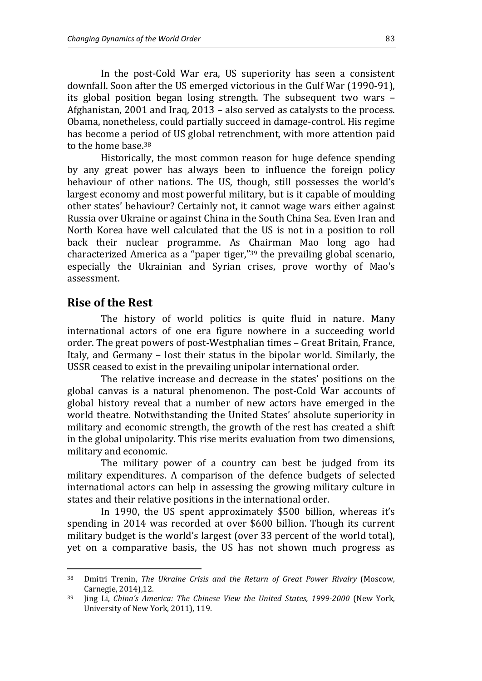In the post-Cold War era, US superiority has seen a consistent downfall. Soon after the US emerged victorious in the Gulf War (1990-91), its global position began losing strength. The subsequent two wars – Afghanistan, 2001 and Iraq, 2013 – also served as catalysts to the process. Obama, nonetheless, could partially succeed in damage-control. His regime has become a period of US global retrenchment, with more attention paid to the home base.<sup>38</sup>

Historically, the most common reason for huge defence spending by any great power has always been to influence the foreign policy behaviour of other nations. The US, though, still possesses the world's largest economy and most powerful military, but is it capable of moulding other states' behaviour? Certainly not, it cannot wage wars either against Russia over Ukraine or against China in the South China Sea. Even Iran and North Korea have well calculated that the US is not in a position to roll back their nuclear programme. As Chairman Mao long ago had characterized America as a "paper tiger,"39 the prevailing global scenario, especially the Ukrainian and Syrian crises, prove worthy of Mao's assessment.

#### **Rise of the Rest**

 $\overline{a}$ 

The history of world politics is quite fluid in nature. Many international actors of one era figure nowhere in a succeeding world order. The great powers of post-Westphalian times – Great Britain, France, Italy, and Germany – lost their status in the bipolar world. Similarly, the USSR ceased to exist in the prevailing unipolar international order.

The relative increase and decrease in the states' positions on the global canvas is a natural phenomenon. The post-Cold War accounts of global history reveal that a number of new actors have emerged in the world theatre. Notwithstanding the United States' absolute superiority in military and economic strength, the growth of the rest has created a shift in the global unipolarity. This rise merits evaluation from two dimensions, military and economic.

The military power of a country can best be judged from its military expenditures. A comparison of the defence budgets of selected international actors can help in assessing the growing military culture in states and their relative positions in the international order.

In 1990, the US spent approximately \$500 billion, whereas it's spending in 2014 was recorded at over \$600 billion. Though its current military budget is the world's largest (over 33 percent of the world total), yet on a comparative basis, the US has not shown much progress as

<sup>38</sup> Dmitri Trenin, *The Ukraine Crisis and the Return of Great Power Rivalry* (Moscow, Carnegie, 2014),12.

<sup>39</sup> Jing Li, *China's America: The Chinese View the United States, 1999-2000* (New York, University of New York, 2011), 119.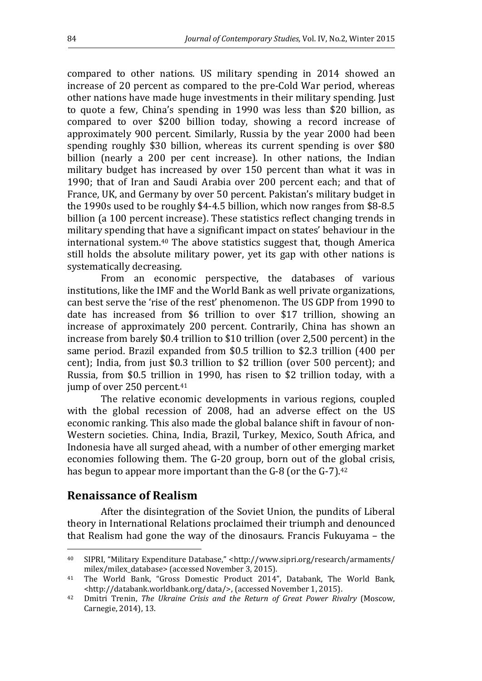compared to other nations. US military spending in 2014 showed an increase of 20 percent as compared to the pre-Cold War period, whereas other nations have made huge investments in their military spending. Just to quote a few, China's spending in 1990 was less than \$20 billion, as compared to over \$200 billion today, showing a record increase of approximately 900 percent. Similarly, Russia by the year 2000 had been spending roughly \$30 billion, whereas its current spending is over \$80 billion (nearly a 200 per cent increase). In other nations, the Indian military budget has increased by over 150 percent than what it was in 1990; that of Iran and Saudi Arabia over 200 percent each; and that of France, UK, and Germany by over 50 percent. Pakistan's military budget in the 1990s used to be roughly \$4-4.5 billion, which now ranges from \$8-8.5 billion (a 100 percent increase). These statistics reflect changing trends in military spending that have a significant impact on states' behaviour in the international system.40 The above statistics suggest that, though America still holds the absolute military power, yet its gap with other nations is systematically decreasing.

From an economic perspective, the databases of various institutions, like the IMF and the World Bank as well private organizations, can best serve the 'rise of the rest' phenomenon. The US GDP from 1990 to date has increased from \$6 trillion to over \$17 trillion, showing an increase of approximately 200 percent. Contrarily, China has shown an increase from barely \$0.4 trillion to \$10 trillion (over 2,500 percent) in the same period. Brazil expanded from \$0.5 trillion to \$2.3 trillion (400 per cent); India, from just \$0.3 trillion to \$2 trillion (over 500 percent); and Russia, from \$0.5 trillion in 1990, has risen to \$2 trillion today, with a jump of over 250 percent.<sup>41</sup>

The relative economic developments in various regions, coupled with the global recession of 2008, had an adverse effect on the US economic ranking. This also made the global balance shift in favour of non-Western societies. China, India, Brazil, Turkey, Mexico, South Africa, and Indonesia have all surged ahead, with a number of other emerging market economies following them. The G-20 group, born out of the global crisis, has begun to appear more important than the G-8 (or the G-7).<sup>42</sup>

### **Renaissance of Realism**

 $\overline{a}$ 

After the disintegration of the Soviet Union, the pundits of Liberal theory in International Relations proclaimed their triumph and denounced that Realism had gone the way of the dinosaurs. Francis Fukuyama – the

<sup>40</sup> SIPRI, "Military Expenditure Database," <http://www.sipri.org/research/armaments/ milex/milex\_database> (accessed November 3, 2015).

<sup>41</sup> The World Bank, "Gross Domestic Product 2014", Databank, The World Bank, <http://databank.worldbank.org/data/>, (accessed November 1, 2015).

<sup>42</sup> Dmitri Trenin, *The Ukraine Crisis and the Return of Great Power Rivalry* (Moscow, Carnegie, 2014), 13.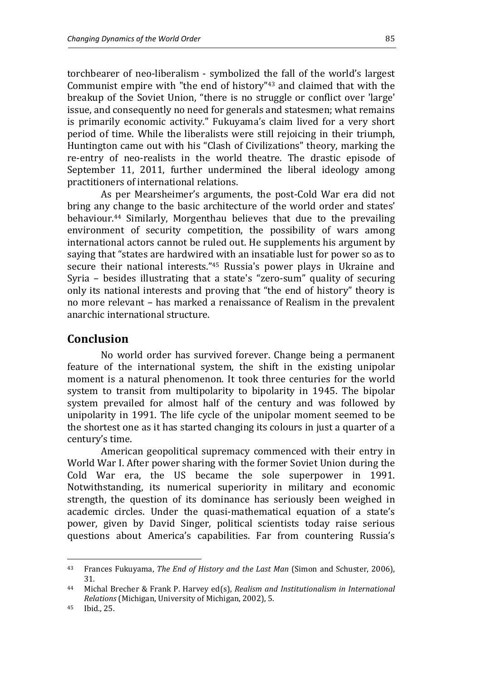torchbearer of neo-liberalism - symbolized the fall of the world's largest Communist empire with "the end of history"43 and claimed that with the breakup of the Soviet Union, "there is no struggle or conflict over 'large' issue, and consequently no need for generals and statesmen; what remains is primarily economic activity." Fukuyama's claim lived for a very short period of time. While the liberalists were still rejoicing in their triumph, Huntington came out with his "Clash of Civilizations" theory, marking the re-entry of neo-realists in the world theatre. The drastic episode of September 11, 2011, further undermined the liberal ideology among practitioners of international relations.

As per Mearsheimer's arguments, the post-Cold War era did not bring any change to the basic architecture of the world order and states' behaviour.44 Similarly, Morgenthau believes that due to the prevailing environment of security competition, the possibility of wars among international actors cannot be ruled out. He supplements his argument by saying that "states are hardwired with an insatiable lust for power so as to secure their national interests."45 Russia's power plays in Ukraine and Syria – besides illustrating that a state's "zero-sum" quality of securing only its national interests and proving that "the end of history" theory is no more relevant – has marked a renaissance of Realism in the prevalent anarchic international structure.

#### **Conclusion**

No world order has survived forever. Change being a permanent feature of the international system, the shift in the existing unipolar moment is a natural phenomenon. It took three centuries for the world system to transit from multipolarity to bipolarity in 1945. The bipolar system prevailed for almost half of the century and was followed by unipolarity in 1991. The life cycle of the unipolar moment seemed to be the shortest one as it has started changing its colours in just a quarter of a century's time.

American geopolitical supremacy commenced with their entry in World War I. After power sharing with the former Soviet Union during the Cold War era, the US became the sole superpower in 1991. Notwithstanding, its numerical superiority in military and economic strength, the question of its dominance has seriously been weighed in academic circles. Under the quasi-mathematical equation of a state's power, given by David Singer, political scientists today raise serious questions about America's capabilities. Far from countering Russia's

<sup>43</sup> Frances Fukuyama, *The End of History and the Last Man* (Simon and Schuster, 2006), 31.

<sup>44</sup> Michal Brecher & Frank P. Harvey ed(s), *Realism and Institutionalism in International Relations* (Michigan, University of Michigan, 2002), 5.

<sup>45</sup> Ibid., 25.